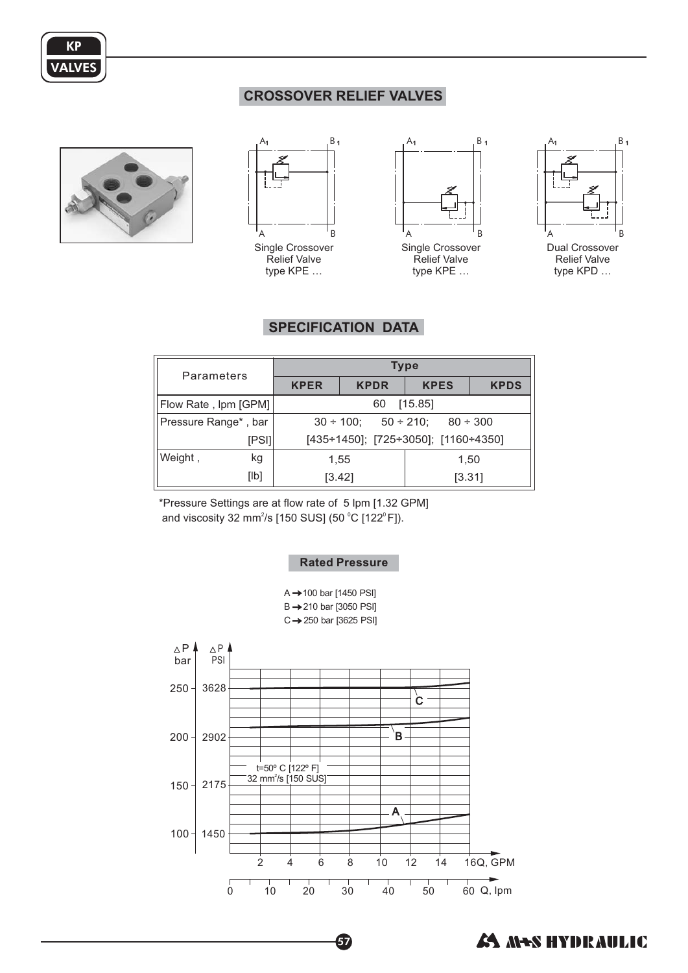

## **CROSSOVER RELIEF VALVES**





Relief Valve type KPE ...



Relief Valve type KPE ...



# **SPECIFICATION DATA**

| Parameters           | <b>Type</b>                                                |             |             |             |
|----------------------|------------------------------------------------------------|-------------|-------------|-------------|
|                      | <b>KPER</b>                                                | <b>KPDR</b> | <b>KPES</b> | <b>KPDS</b> |
| Flow Rate, Ipm [GPM] | [15.85]<br>60                                              |             |             |             |
| Pressure Range*, bar | $30 \div 100$ ; $50 \div 210$ ; $80 \div 300$              |             |             |             |
| [PSI]                | $[435 \div 1450]$ ; $[725 \div 3050]$ ; $[1160 \div 4350]$ |             |             |             |
| Weight,<br>kg        |                                                            | 1,55        | 1,50        |             |
| [lb]                 |                                                            | [3.42]      | [3.31]      |             |

\*Pressure Settings are at flow rate of 5 lpm [1.32 GPM] and viscosity 32 mm<sup>2</sup>/s [150 SUS] (50  $^{\circ}$ C [122 $^{\circ}$ F]).

#### **Rated Pressure**

 $A \rightarrow 100$  bar [1450 PSI]  $B \rightarrow 210$  bar [3050 PSI]  $C \rightarrow 250$  bar [3625 PSI]



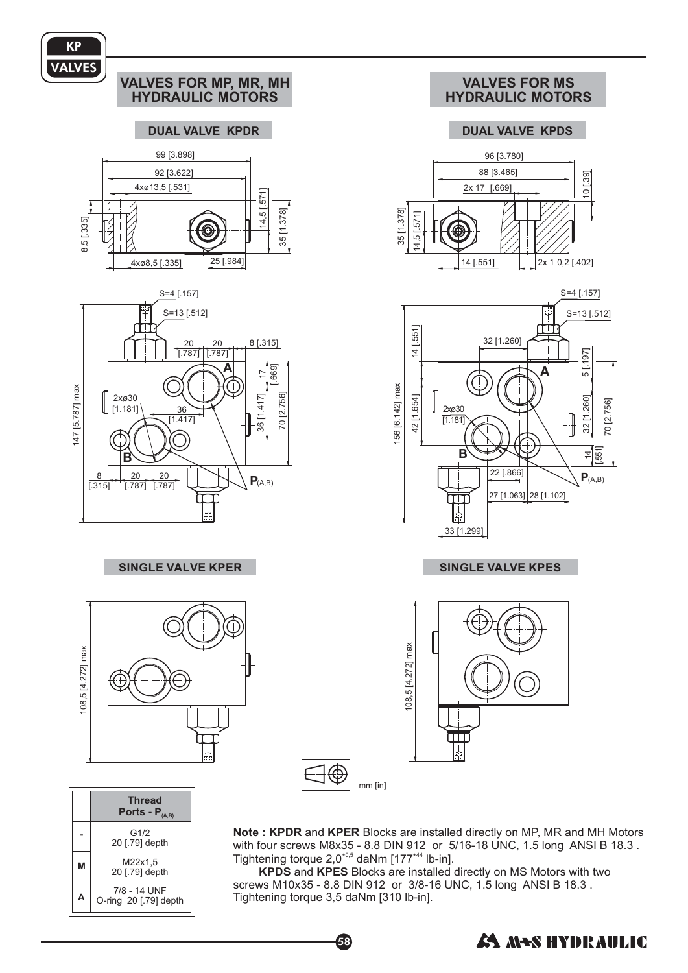

Note: KPDR and KPER Blocks are installed directly on MP, MR and MH Motors with four screws M8x35 - 8.8 DIN 912 or 5/16-18 UNC, 1.5 long ANSI B 18.3. Tightening torque  $2.0^{40,5}$  daNm  $[177^{44}$  lb-in].  $^{+0,5}$  deNlm  $1477^{+44}$ 

G1/2 20 [.79] depth M22x1,5 20 [.79] de pth 7/8 - 14 UNF O-ring 20 [.79] de pth

**-**

**M**

**A**

KPDS and KPES Blocks are installed directly on M screws M10x35 - 8.8 DIN 912 or 3/8-16 UNC, 1.5 long ANSI B 18.3. and KPES Blocks are installed directly on MS Motors with two Tightening torque 3,5 daNm [310 lb-in].

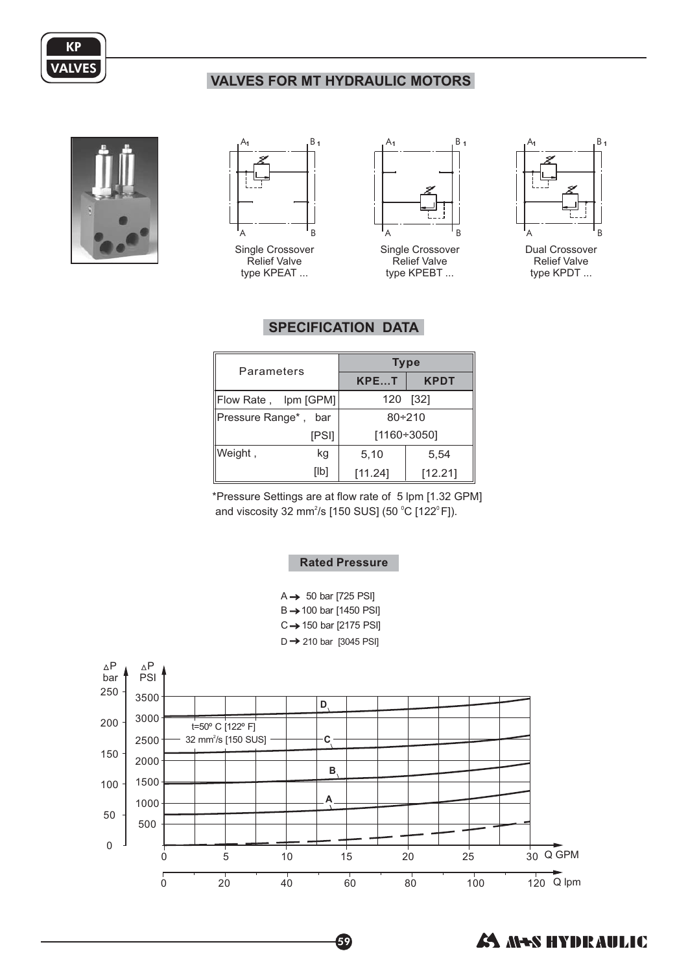

# **VALVES FOR MT HYDRAULIC MOTORS**





Single Crossover Relief Valve type KPEAT ...



Single Crossover Relief Valve type KPEBT ...



Dual Crossover Relief Valve type KPDT ...

# **SPECIFICATION DATA**

| Parameters                          |       | <b>Type</b> |             |  |
|-------------------------------------|-------|-------------|-------------|--|
|                                     |       | KPET        | <b>KPDT</b> |  |
| 120<br>Flow Rate, Ipm [GPM]<br>[32] |       |             |             |  |
| Pressure Range*,                    | bar   |             | $80 + 210$  |  |
|                                     | [PSI] |             | [1160÷3050] |  |
| Weight,                             | kg    | 5,10        | 5,54        |  |
|                                     | [Ib]  | [11.24]     | [12.21]     |  |

\*Pressure Settings are at flow rate of 5 lpm [1.32 GPM] and viscosity 32 mm<sup>2</sup>/s [150 SUS] (50 °C [122°F]).

## **Rated Pressure**

 $B \rightarrow 100$  bar [1450 PSI]  $C \rightarrow 150$  bar [2175 PSI]  $D \rightarrow 210$  bar [3045 PSI]  $A \rightarrow 50$  bar [725 PSI]



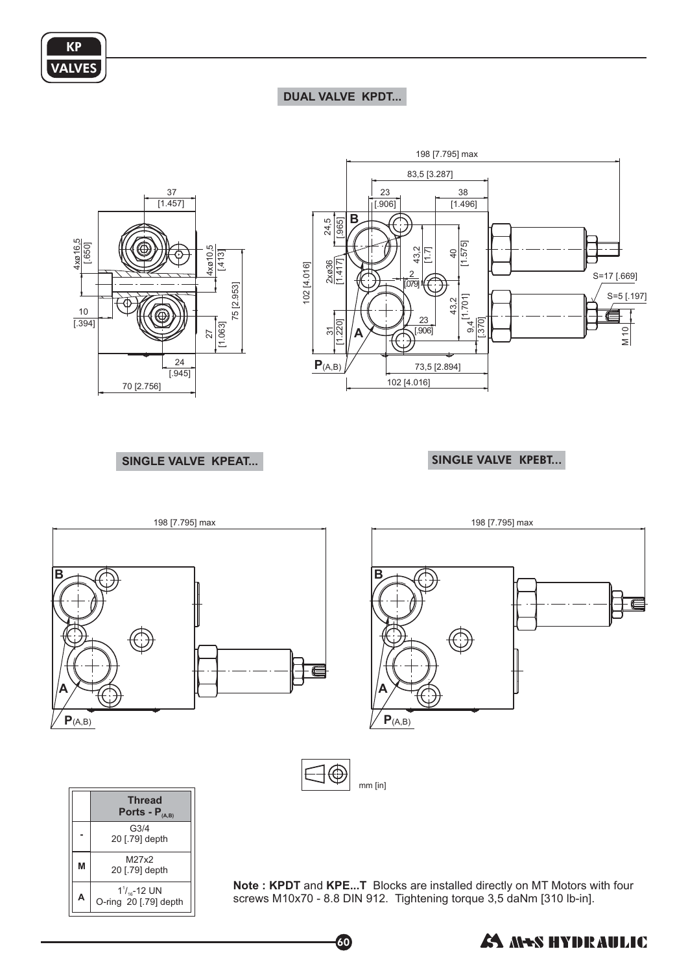

**M**

20 [.79] depth M27x2 20 [.79] de pth  $1^{\frac{1}{16}}$ -12 UN O-ring 20 [.79] de pth

**A**

## **DUAL VALVE KPDT...**



SINGLE VALVE KPEAT... **SINGLE VALVE KPEBT...** 



60

**Note : KPDT and KPE...T** Blocks are installed directly on MT Motors with four screws M10x70 - 8.8 DIN 912. Tightening torque 3,5 daNm [310 lb-in].

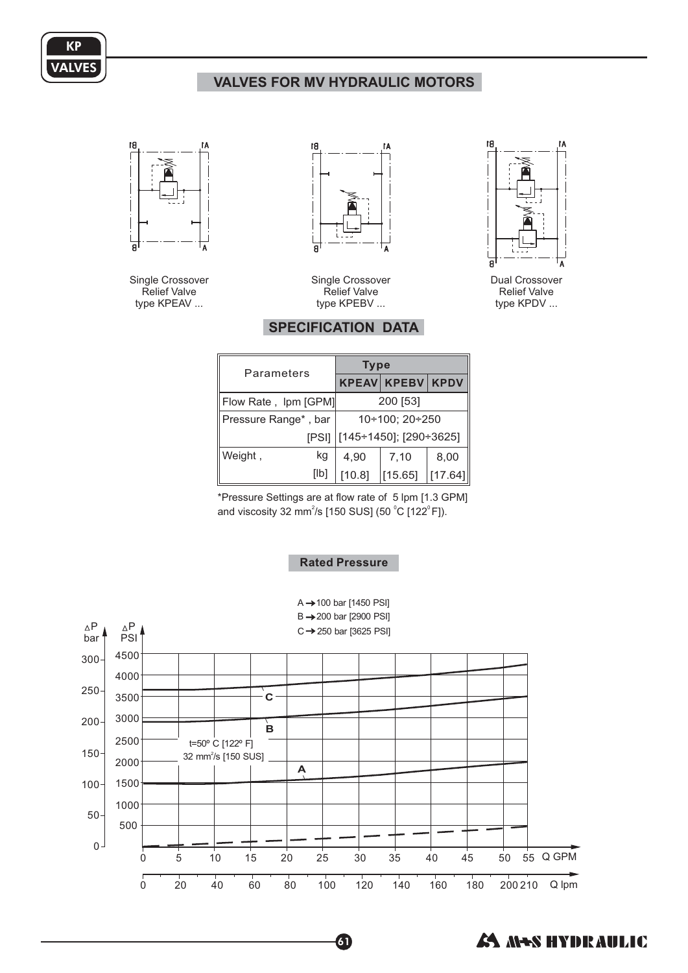

# **VALVES FOR MV HYDRAULIC MOTORS**



Single Crossover Relief Valve type KPEAV ...



Single Crossover Relief Valve type KPEBV ...



Dual Crossover Relief Valve type KPDV ...

## **SPECIFICATION DATA**

| Parameters           | <b>Type</b>                    |                    |             |
|----------------------|--------------------------------|--------------------|-------------|
|                      |                                | <b>KPEAV KPEBV</b> | <b>KPDV</b> |
| Flow Rate, Ipm [GPM] |                                | 200 [53]           |             |
| Pressure Range*, bar | $10+100; 20+250$               |                    |             |
|                      | [PSI]   [145÷1450]; [290÷3625] |                    |             |
| Weight,<br>kg        | 4.90                           | 7,10               | 8,00        |
| [lb]                 | [10.8]                         | [15.65]            |             |

\*Pressure Settings are at flow rate of 5 lpm [1.3 GPM] and viscosity 32 mm<sup>2</sup>/s [150 SUS] (50 °C [122°F]).

### **Rated Pressure**



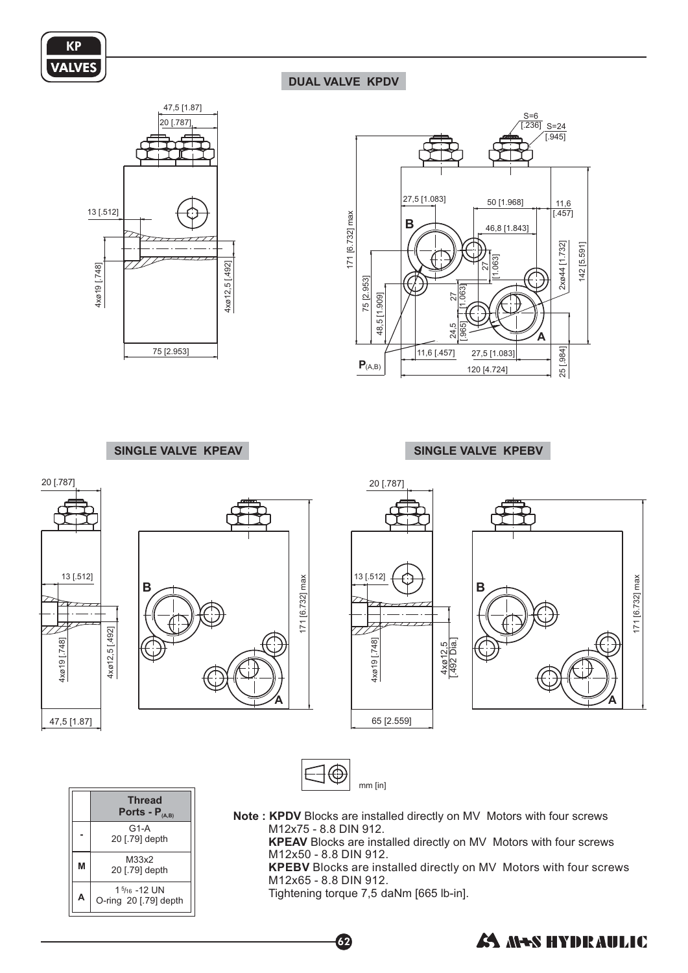

## **DUAL VALVE KPDV**





#### **SINGLE VALVE KPEAV SINGLE VALVE KPEBV**

O-ring 20 [.79] de pth



Tightening torque 7,5 daNm [665 lb-in].

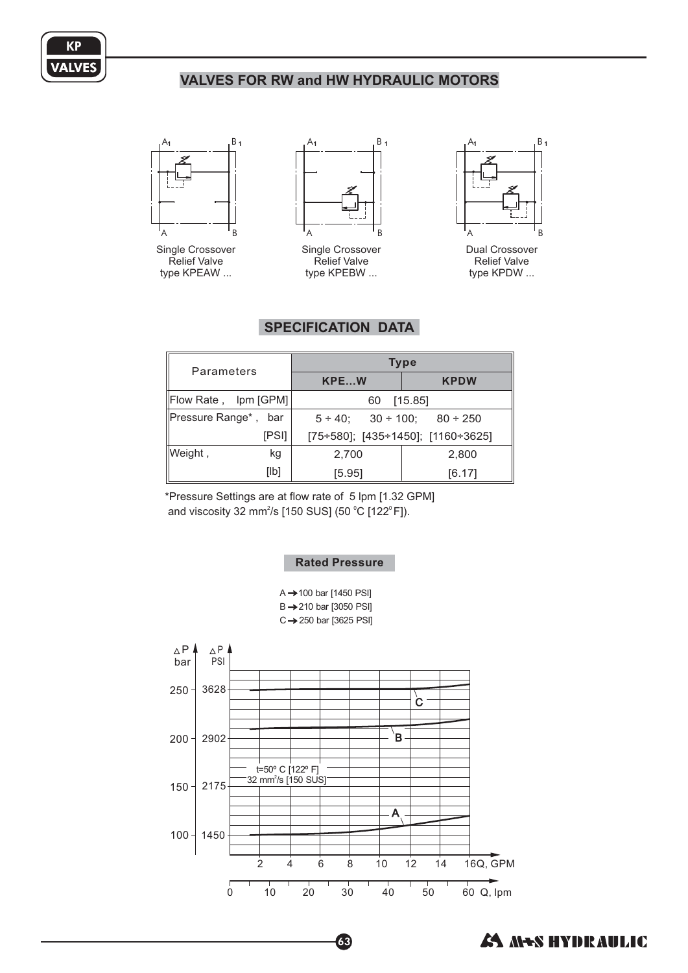

## **VALVES FOR RW and HW HYDRAULIC MOTORS**



Single Crossover Relief Valve type KPEAW ...



Single Crossover Relief Valve type KPEBW ...



Dual Crossover Relief Valve type KPDW ...

# **SPECIFICATION DATA**

| Parameters           | <b>Type</b>                                              |             |  |
|----------------------|----------------------------------------------------------|-------------|--|
|                      | KPEW                                                     | <b>KPDW</b> |  |
| Flow Rate, Ipm [GPM] | 60                                                       | [15.85]     |  |
| Pressure Range*, bar | $5 \div 40$ ; $30 \div 100$ ; $80 \div 250$              |             |  |
| [PSI]                | $[75 \div 580]$ ; $[435 \div 1450]$ ; $[1160 \div 3625]$ |             |  |
| Weight,<br>kg        | 2,700                                                    | 2,800       |  |
| [Ib]                 | [5.95]                                                   | [6.17]      |  |

\*Pressure Settings are at flow rate of 5 lpm [1.32 GPM] and viscosity 32 mm $^2$ /s [150 SUS] (50  $^{\circ}$ C [122 $^{\circ}$ F]).

#### **Rated Pressure**





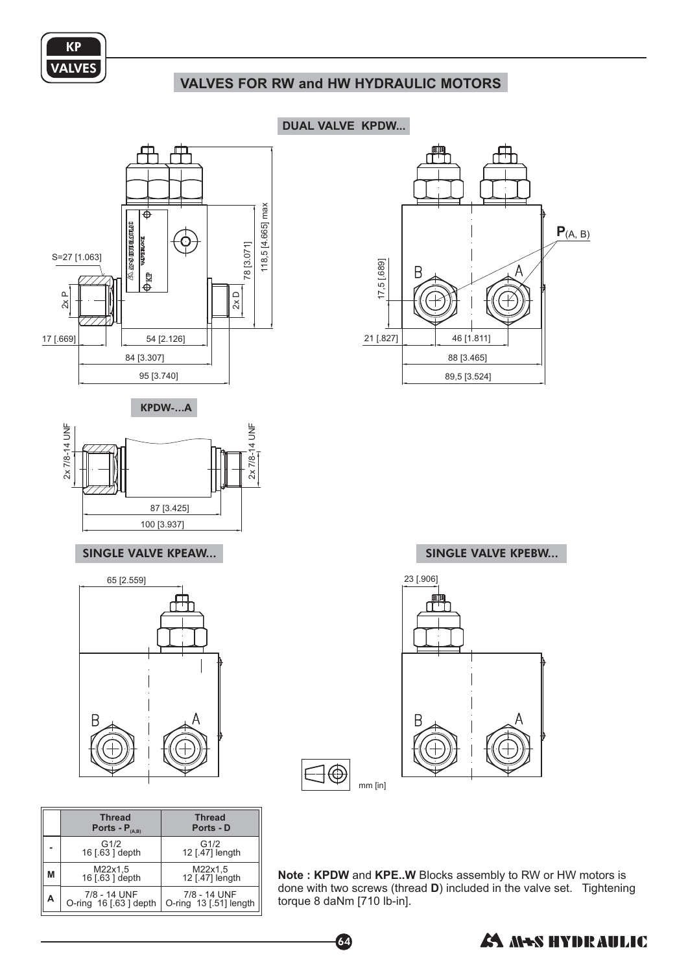

# **VALVES FOR RW and HW HYDRAULIC MOTORS**



65 [2.559] 23 [.906] ⊢

|   | <b>Thread</b><br>Ports - $P_{(A,B)}$  | <b>Thread</b><br>Ports - D             |
|---|---------------------------------------|----------------------------------------|
|   | G1/2<br>16 [.63 ] depth               | G1/2<br>12 [.47] length                |
| М | M22x1,5<br>16 [.63 ] depth            | M22x1,5<br>12 [.47] length             |
| А | 7/8 - 14 UNF<br>O-ring 16 [.63] depth | 7/8 - 14 UNF<br>O-ring 13 [.51] length |

**DUAL VALVE KPDW...**



mm [in]

Note: KPDW and KPE..W Blocks assembly to RW or HW motors is done with two screws (thread D) included in the valve set. Tightening torque 8 daNm [710 lb-in].



64

∃⊕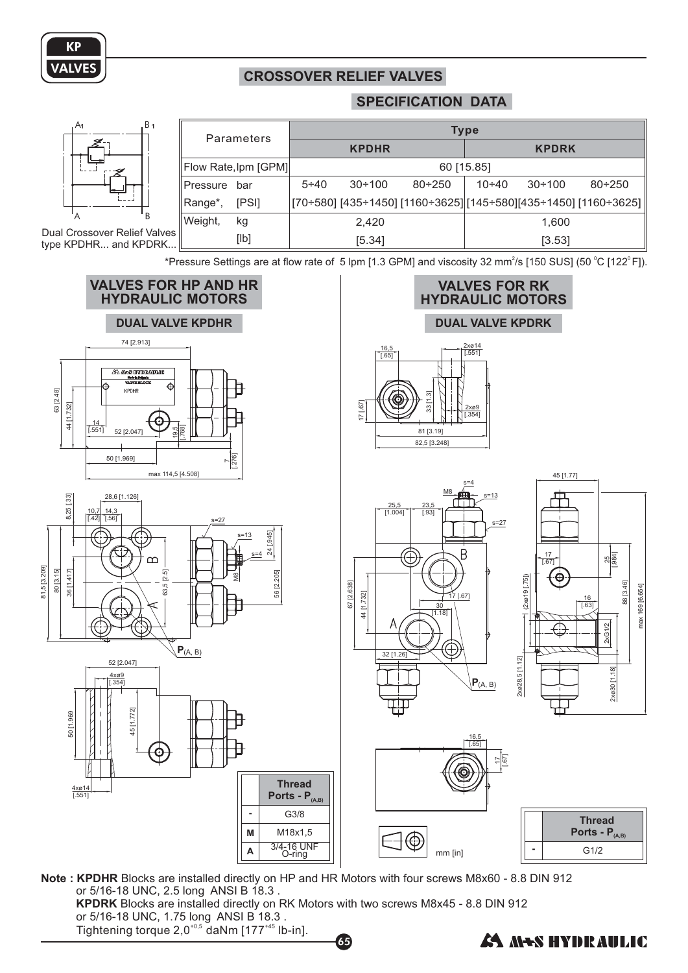

## **CROSSOVER RELIEF VALVES**

#### **SPECIFICATION DATA**



\*Pressure Settings are at flow rate of  $5$  lpm [1.3 GPM] and viscosity 32 mm<sup>2</sup>/s [150 SUS] (50 °C [122° F]).











mm [in]

| <b>Thread</b><br>Ports - $P_{(A,B)}$ |
|--------------------------------------|
| G1/2                                 |

Note: KPDHR Blocks are installed directly on HP and HR Motors with four screws M8x60 - 8.8 DIN 912 **KPDRK** Blocks are installed directly on RK Motors with two screws M8x45 - 8.8 DIN 912 or 5/16-18 UNC, 2.5 long ANSI B 18.3 .

. Tightening torque 2,0<sup>+0,5</sup> daNm [177<sup>+45</sup> lb-in]. or 5/16-18 UNC, 1.75 long ANSI B 18.3

**AS MES HYDRAULIC**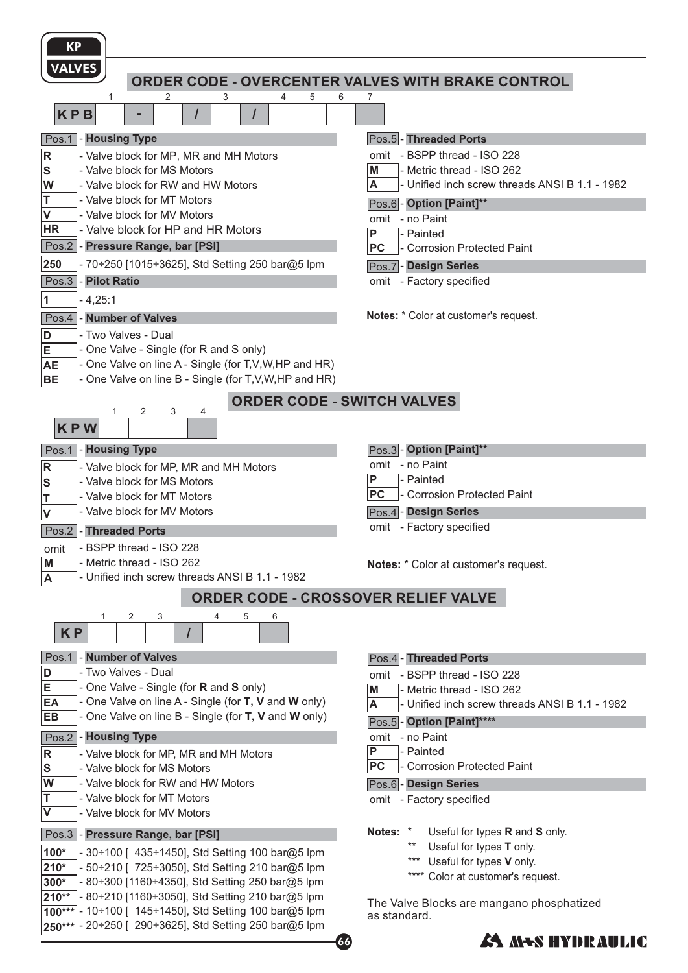| <b>KP</b>                                                                                                                |                                                                  |
|--------------------------------------------------------------------------------------------------------------------------|------------------------------------------------------------------|
| <b>VALVES</b>                                                                                                            | ORDER CODE - OVERCENTER VALVES WITH BRAKE CONTROL                |
| 5<br>1<br>2<br>3<br>4<br><b>KPB</b>                                                                                      | 6<br>7                                                           |
| - Housing Type<br>Pos.1                                                                                                  | Pos.5 - Threaded Ports                                           |
| $\vert$ R<br>- Valve block for MP, MR and MH Motors                                                                      | omit - BSPP thread - ISO 228                                     |
| $\mathbf S$<br>- Valve block for MS Motors                                                                               | - Metric thread - ISO 262<br>М                                   |
| W<br>- Valve block for RW and HW Motors                                                                                  | - Unified inch screw threads ANSI B 1.1 - 1982<br>Α              |
| T<br>- Valve block for MT Motors                                                                                         | Pos.6 - Option [Paint]**                                         |
| $\pmb{\mathsf{V}}$<br>- Valve block for MV Motors<br>- Valve block for HP and HR Motors<br>HR                            | omit - no Paint                                                  |
| Pos.2 - Pressure Range, bar [PSI]                                                                                        | P<br>- Painted<br><b>PC</b><br><b>Corrosion Protected Paint</b>  |
| 250<br>- 70÷250 [1015÷3625], Std Setting 250 bar@5 lpm                                                                   | Pos.7 - Design Series                                            |
| Pos.3<br>- Pilot Ratio                                                                                                   | omit - Factory specified                                         |
| $\vert$ 1<br>$-4,25:1$                                                                                                   |                                                                  |
| - Number of Valves<br>Pos.4                                                                                              | <b>Notes:</b> * Color at customer's request.                     |
| - Two Valves - Dual<br>D                                                                                                 |                                                                  |
| E<br>- One Valve - Single (for R and S only)                                                                             |                                                                  |
| - One Valve on line A - Single (for T, V, W, HP and HR)<br><b>AE</b>                                                     |                                                                  |
| - One Valve on line B - Single (for T, V, W, HP and HR)<br><b>BE</b>                                                     |                                                                  |
|                                                                                                                          | <b>ORDER CODE - SWITCH VALVES</b>                                |
| 2<br>3<br>1<br>4<br><b>KPW</b>                                                                                           |                                                                  |
| - Housing Type<br>Pos.1                                                                                                  | Pos.3 - Option [Paint]**                                         |
| $\mathsf R$<br>- Valve block for MP, MR and MH Motors                                                                    | omit - no Paint                                                  |
| S<br>- Valve block for MS Motors                                                                                         | P<br>- Painted                                                   |
| - Valve block for MT Motors<br>Τ                                                                                         | <b>PC</b><br>- Corrosion Protected Paint                         |
| - Valve block for MV Motors<br>$\mathsf{V}$                                                                              | Pos.4 - Design Series                                            |
| Pos.2<br>- Threaded Ports                                                                                                | omit - Factory specified                                         |
| - BSPP thread - ISO 228<br>omit                                                                                          |                                                                  |
| - Metric thread - ISO 262<br>M<br>- Unified inch screw threads ANSI B 1.1 - 1982<br>$\boldsymbol{\mathsf{A}}$            | Notes: * Color at customer's request.                            |
|                                                                                                                          |                                                                  |
|                                                                                                                          | ORDER CODE - CROSSOVER RELIEF VALVE                              |
| 2<br>3<br>5<br>1<br>4<br>6<br><b>KP</b>                                                                                  |                                                                  |
| - Number of Valves<br>Pos.1                                                                                              | Pos.4- Threaded Ports                                            |
| - Two Valves - Dual<br>D                                                                                                 | omit - BSPP thread - ISO 228                                     |
| E<br>- One Valve - Single (for <b>R</b> and <b>S</b> only)<br>- One Valve on line A - Single (for T, V and W only)<br>EA | M<br>- Metric thread - ISO 262                                   |
| - One Valve on line B - Single (for T, V and W only)<br>EB                                                               | - Unified inch screw threads ANSI B 1.1 - 1982<br>A              |
|                                                                                                                          | - Option [Paint]****<br>Pos.5<br>omit - no Paint                 |
| - Housing Type<br>Pos.2<br>$\mathsf R$<br>- Valve block for MP, MR and MH Motors                                         | P<br>- Painted                                                   |
| ${\mathbf S}$<br>- Valve block for MS Motors                                                                             | <b>PC</b><br><b>Corrosion Protected Paint</b>                    |
| W<br>- Valve block for RW and HW Motors                                                                                  | Pos.6 - Design Series                                            |
| T<br>- Valve block for MT Motors                                                                                         | omit - Factory specified                                         |
| $\overline{\mathsf{v}}$<br>- Valve block for MV Motors                                                                   |                                                                  |
| Pos.3<br>- Pressure Range, bar [PSI]                                                                                     | Notes: *<br>Useful for types R and S only.                       |
| $100*$<br>- 30÷100 [ 435÷1450], Std Setting 100 bar@5 lpm                                                                | $***$<br>Useful for types T only.<br>***                         |
| - 50÷210 [ 725÷3050], Std Setting 210 bar@5 lpm<br>$210*$                                                                | Useful for types V only.<br>Color at customer's request.<br>**** |
| - 80÷300 [1160÷4350], Std Setting 250 bar@5 lpm<br>300*                                                                  |                                                                  |
| - 80÷210 [1160÷3050], Std Setting 210 bar@5 lpm<br>$210**$<br>- 10÷100 [ 145÷1450], Std Setting 100 bar@5 lpm<br>100***  | The Valve Blocks are mangano phosphatized                        |
| - 20÷250 [ 290÷3625], Std Setting 250 bar@5 lpm<br>250***                                                                | as standard.                                                     |
|                                                                                                                          | <i>E</i> A M+S HYDRAULIC<br>66                                   |